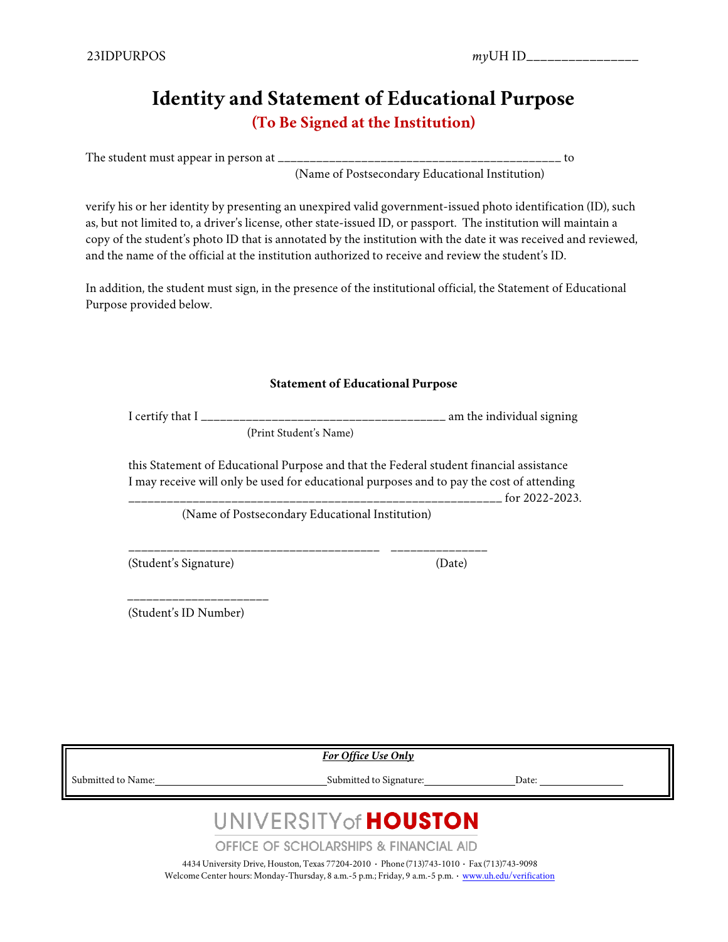### **Identity and Statement of Educational Purpose (To Be Signed at the Institution)**

The student must appear in person at \_\_\_\_\_\_\_\_\_\_\_\_\_\_\_\_\_\_\_\_\_\_\_\_\_\_\_\_\_\_\_\_\_\_\_\_\_\_\_\_\_\_\_\_ to

(Name of Postsecondary Educational Institution)

verify his or her identity by presenting an unexpired valid government-issued photo identification (ID), such as, but not limited to, a driver's license, other state-issued ID, or passport. The institution will maintain a copy of the student's photo ID that is annotated by the institution with the date it was received and reviewed, and the name of the official at the institution authorized to receive and review the student's ID.

In addition, the student must sign, in the presence of the institutional official, the Statement of Educational Purpose provided below.

#### **Statement of Educational Purpose**

I certify that  $I_{\text{2}}$   $\bar{I}_{\text{2}}$   $\bar{I}_{\text{2}}$   $\bar{I}_{\text{2}}$   $\bar{I}_{\text{2}}$   $\bar{I}_{\text{2}}$   $\bar{I}_{\text{2}}$   $\bar{I}_{\text{2}}$   $\bar{I}_{\text{2}}$   $\bar{I}_{\text{2}}$   $\bar{I}_{\text{2}}$   $\bar{I}_{\text{2}}$   $\bar{I}_{\text{2}}$   $\bar{I}_{\text{2}}$   $\bar{I}_{\text{2}}$   $\bar{I}_{\text{2}}$ 

(Print Student's Name)

this Statement of Educational Purpose and that the Federal student financial assistance I may receive will only be used for educational purposes and to pay the cost of attending

 $\frac{1}{2}$  for 2022-2023.

(Name of Postsecondary Educational Institution)

\_\_\_\_\_\_\_\_\_\_\_\_\_\_\_\_\_\_\_\_\_\_\_\_\_\_\_\_\_\_\_\_\_\_\_\_\_\_\_ \_\_\_\_\_\_\_\_\_\_\_\_\_\_\_

(Student's Signature) (Date)

\_\_\_\_\_\_\_\_\_\_\_\_\_\_\_\_\_\_\_\_\_\_

(Student's ID Number)

*For Office Use Only*

 $\text{Submitted to Name:}\footnotesize\begin{minipage}{14pt} \begin{tabular}{l} \text{Submitted to Square:}\end{tabular} \end{minipage}$ 

## UNIVERSITY of **HOUSTON**

**OFFICE OF SCHOLARSHIPS & FINANCIAL AID** 

4434 University Drive, Houston, Texas 77204-2010 **·** Phone (713)743-1010 **·** Fax (713)743-9098 WelcomeCenter hours: Monday-Thursday, 8 a.m.-5 p.m.; Friday, 9 a.m.-5 p.m. **·** [www.uh.edu/verification](http://www.uh.edu/verification)